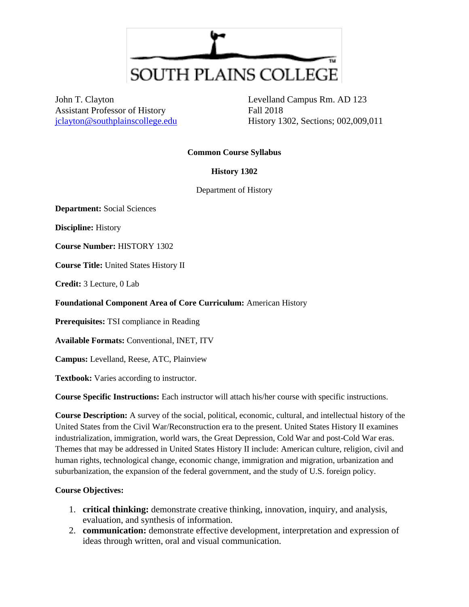

John T. Clayton Assistant Professor of History [jclayton@southplainscollege.edu](mailto:jclayton@southplainscollege.edu)

Levelland Campus Rm. AD 123 Fall 2018 History 1302, Sections; 002,009,011

#### **Common Course Syllabus**

### **History 1302**

Department of History

**Department:** Social Sciences

**Discipline:** History

**Course Number:** HISTORY 1302

**Course Title:** United States History II

**Credit:** 3 Lecture, 0 Lab

**Foundational Component Area of Core Curriculum:** American History

**Prerequisites:** TSI compliance in Reading

**Available Formats:** Conventional, INET, ITV

**Campus:** Levelland, Reese, ATC, Plainview

**Textbook:** Varies according to instructor.

**Course Specific Instructions:** Each instructor will attach his/her course with specific instructions.

**Course Description:** A survey of the social, political, economic, cultural, and intellectual history of the United States from the Civil War/Reconstruction era to the present. United States History II examines industrialization, immigration, world wars, the Great Depression, Cold War and post-Cold War eras. Themes that may be addressed in United States History II include: American culture, religion, civil and human rights, technological change, economic change, immigration and migration, urbanization and suburbanization, the expansion of the federal government, and the study of U.S. foreign policy.

#### **Course Objectives:**

- 1. **critical thinking:** demonstrate creative thinking, innovation, inquiry, and analysis, evaluation, and synthesis of information.
- 2. **communication:** demonstrate effective development, interpretation and expression of ideas through written, oral and visual communication.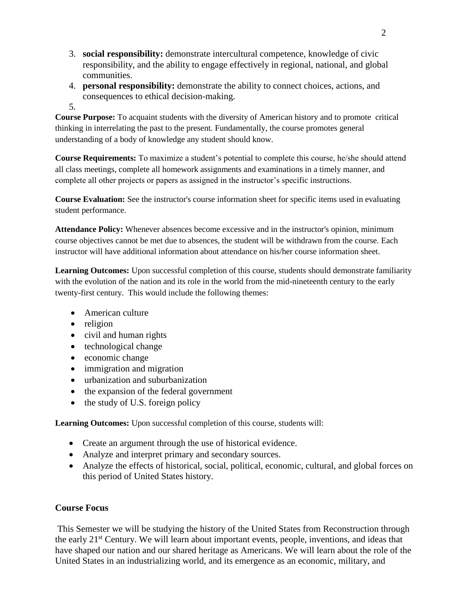- 3. **social responsibility:** demonstrate intercultural competence, knowledge of civic responsibility, and the ability to engage effectively in regional, national, and global communities.
- 4. **personal responsibility:** demonstrate the ability to connect choices, actions, and consequences to ethical decision-making.
- 5.

**Course Purpose:** To acquaint students with the diversity of American history and to promote critical thinking in interrelating the past to the present. Fundamentally, the course promotes general understanding of a body of knowledge any student should know.

**Course Requirements:** To maximize a student's potential to complete this course, he/she should attend all class meetings, complete all homework assignments and examinations in a timely manner, and complete all other projects or papers as assigned in the instructor's specific instructions.

**Course Evaluation:** See the instructor's course information sheet for specific items used in evaluating student performance.

**Attendance Policy:** Whenever absences become excessive and in the instructor's opinion, minimum course objectives cannot be met due to absences, the student will be withdrawn from the course. Each instructor will have additional information about attendance on his/her course information sheet.

**Learning Outcomes:** Upon successful completion of this course, students should demonstrate familiarity with the evolution of the nation and its role in the world from the mid-nineteenth century to the early twenty-first century. This would include the following themes:

- American culture
- religion
- civil and human rights
- technological change
- economic change
- immigration and migration
- urbanization and suburbanization
- the expansion of the federal government
- $\bullet$  the study of U.S. foreign policy

**Learning Outcomes:** Upon successful completion of this course, students will:

- Create an argument through the use of historical evidence.
- Analyze and interpret primary and secondary sources.
- Analyze the effects of historical, social, political, economic, cultural, and global forces on this period of United States history.

# **Course Focus**

This Semester we will be studying the history of the United States from Reconstruction through the early 21st Century. We will learn about important events, people, inventions, and ideas that have shaped our nation and our shared heritage as Americans. We will learn about the role of the United States in an industrializing world, and its emergence as an economic, military, and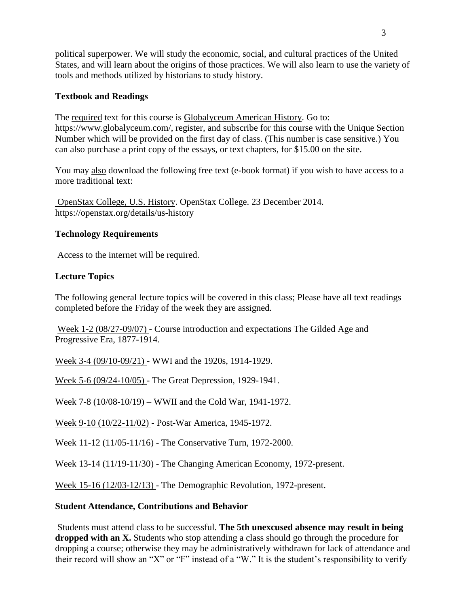political superpower. We will study the economic, social, and cultural practices of the United States, and will learn about the origins of those practices. We will also learn to use the variety of tools and methods utilized by historians to study history.

## **Textbook and Readings**

The required text for this course is Globalyceum American History. Go to: https://www.globalyceum.com/, register, and subscribe for this course with the Unique Section Number which will be provided on the first day of class. (This number is case sensitive.) You can also purchase a print copy of the essays, or text chapters, for \$15.00 on the site.

You may also download the following free text (e-book format) if you wish to have access to a more traditional text:

OpenStax College, U.S. History. OpenStax College. 23 December 2014. https://openstax.org/details/us-history

## **Technology Requirements**

Access to the internet will be required.

## **Lecture Topics**

The following general lecture topics will be covered in this class; Please have all text readings completed before the Friday of the week they are assigned.

Week 1-2 (08/27-09/07) - Course introduction and expectations The Gilded Age and Progressive Era, 1877-1914.

Week 3-4 (09/10-09/21) - WWI and the 1920s, 1914-1929.

Week 5-6 (09/24-10/05) - The Great Depression, 1929-1941.

Week 7-8 (10/08-10/19) – WWII and the Cold War, 1941-1972.

Week 9-10 (10/22-11/02) - Post-War America, 1945-1972.

Week 11-12 (11/05-11/16) - The Conservative Turn, 1972-2000.

Week 13-14 (11/19-11/30) - The Changing American Economy, 1972-present.

Week 15-16 (12/03-12/13) - The Demographic Revolution, 1972-present.

### **Student Attendance, Contributions and Behavior**

Students must attend class to be successful. **The 5th unexcused absence may result in being dropped with an X.** Students who stop attending a class should go through the procedure for dropping a course; otherwise they may be administratively withdrawn for lack of attendance and their record will show an "X" or "F" instead of a "W." It is the student's responsibility to verify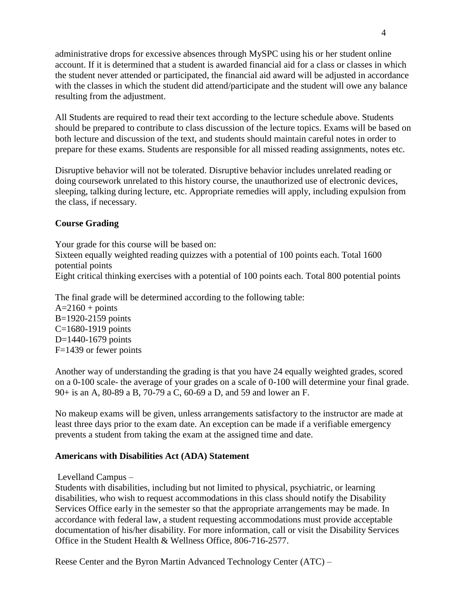administrative drops for excessive absences through MySPC using his or her student online account. If it is determined that a student is awarded financial aid for a class or classes in which the student never attended or participated, the financial aid award will be adjusted in accordance with the classes in which the student did attend/participate and the student will owe any balance resulting from the adjustment.

All Students are required to read their text according to the lecture schedule above. Students should be prepared to contribute to class discussion of the lecture topics. Exams will be based on both lecture and discussion of the text, and students should maintain careful notes in order to prepare for these exams. Students are responsible for all missed reading assignments, notes etc.

Disruptive behavior will not be tolerated. Disruptive behavior includes unrelated reading or doing coursework unrelated to this history course, the unauthorized use of electronic devices, sleeping, talking during lecture, etc. Appropriate remedies will apply, including expulsion from the class, if necessary.

### **Course Grading**

Your grade for this course will be based on: Sixteen equally weighted reading quizzes with a potential of 100 points each. Total 1600 potential points Eight critical thinking exercises with a potential of 100 points each. Total 800 potential points

The final grade will be determined according to the following table:

 $A=2160 + \text{points}$ B=1920-2159 points C=1680-1919 points D=1440-1679 points F=1439 or fewer points

Another way of understanding the grading is that you have 24 equally weighted grades, scored on a 0-100 scale- the average of your grades on a scale of 0-100 will determine your final grade. 90+ is an A, 80-89 a B, 70-79 a C, 60-69 a D, and 59 and lower an F.

No makeup exams will be given, unless arrangements satisfactory to the instructor are made at least three days prior to the exam date. An exception can be made if a verifiable emergency prevents a student from taking the exam at the assigned time and date.

#### **Americans with Disabilities Act (ADA) Statement**

Levelland Campus –

Students with disabilities, including but not limited to physical, psychiatric, or learning disabilities, who wish to request accommodations in this class should notify the Disability Services Office early in the semester so that the appropriate arrangements may be made. In accordance with federal law, a student requesting accommodations must provide acceptable documentation of his/her disability. For more information, call or visit the Disability Services Office in the Student Health & Wellness Office, 806-716-2577.

Reese Center and the Byron Martin Advanced Technology Center (ATC) –